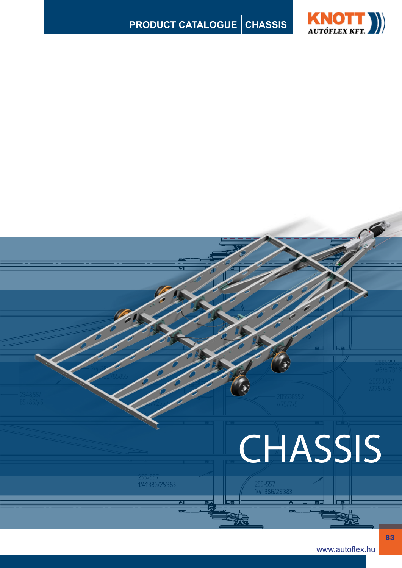

## CHASSIS

1/41386/25383

www.autoflex.hu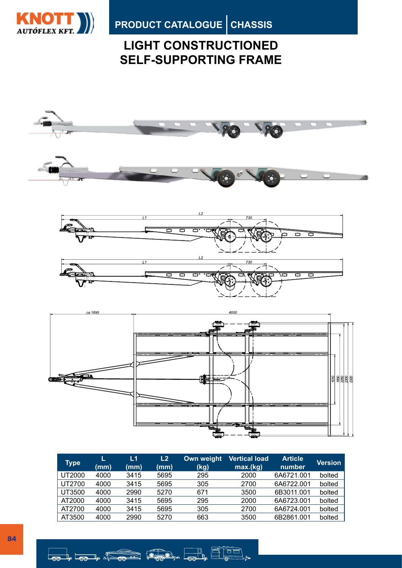

PRODUCT CATALOGUE CHASSIS

## **LIGHT CONSTRUCTIONED SELF-SUPPORTING FRAME**







| <b>Type</b> | (mm) | L1<br>(mm) | L2<br>(mm) | Own weight<br>(kg) | <b>Vertical load</b><br>max.(kg) | <b>Article</b><br>number | <b>Version</b> |
|-------------|------|------------|------------|--------------------|----------------------------------|--------------------------|----------------|
| UT2000      | 4000 | 3415       | 5695       | 295                | 2000                             | 6A6721.001               | bolted         |
| UT2700      | 4000 | 3415       | 5695       | 305                | 2700                             | 6A6722.001               | bolted         |
| UT3500      | 4000 | 2990       | 5270       | 671                | 3500                             | 6B3011.001               | bolted         |
| AT2000      | 4000 | 3415       | 5695       | 295                | 2000                             | 6A6723.001               | bolted         |
| AT2700      | 4000 | 3415       | 5695       | 305                | 2700                             | 6A6724.001               | bolted         |
| AT3500      | 4000 | 2990       | 5270       | 663                | 3500                             | 6B2861.001               | bolted         |

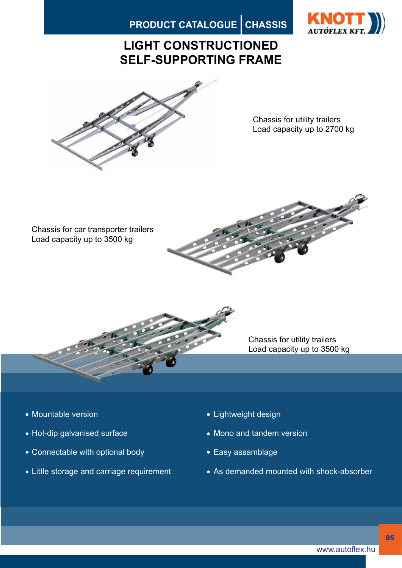PRODUCT CATALOGUE CHASSIS



## **LIGHT CONSTRUCTIONED SELF-SUPPORTING FRAME**



Chassis for utility trailers Load capacity up to 2700 kg

Chassis for car transporter trailers Load capacity up to 3500 kg





Chassis for utility trailers Load capacity up to 3500 kg

- Mountable version
- Hot-dip galvanised surface
- Connectable with optional body
- Little storage and carriage requirement
- Lightweight design
- Mono and tandem version
- Easy assamblage
- As demanded mounted with shock-absorber